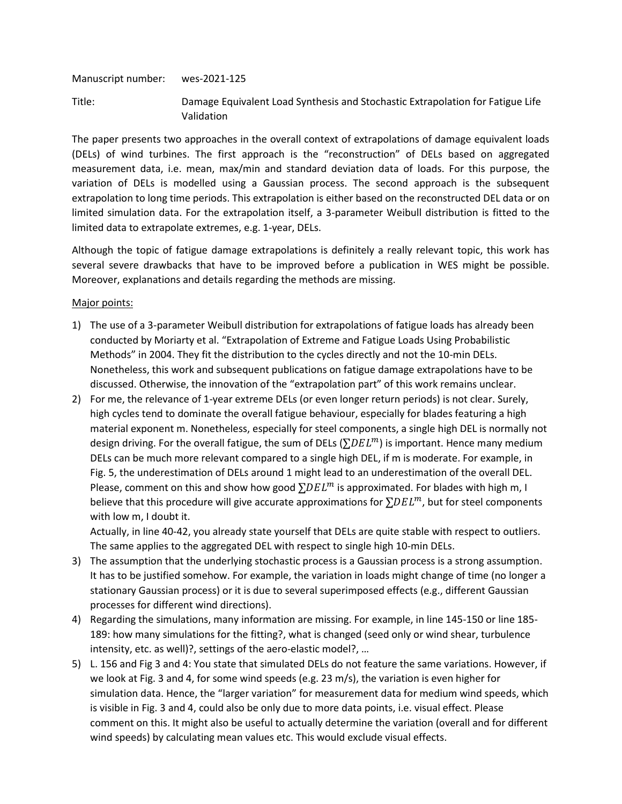Manuscript number: wes-2021-125

Title: Damage Equivalent Load Synthesis and Stochastic Extrapolation for Fatigue Life Validation

The paper presents two approaches in the overall context of extrapolations of damage equivalent loads (DELs) of wind turbines. The first approach is the "reconstruction" of DELs based on aggregated measurement data, i.e. mean, max/min and standard deviation data of loads. For this purpose, the variation of DELs is modelled using a Gaussian process. The second approach is the subsequent extrapolation to long time periods. This extrapolation is either based on the reconstructed DEL data or on limited simulation data. For the extrapolation itself, a 3-parameter Weibull distribution is fitted to the limited data to extrapolate extremes, e.g. 1-year, DELs.

Although the topic of fatigue damage extrapolations is definitely a really relevant topic, this work has several severe drawbacks that have to be improved before a publication in WES might be possible. Moreover, explanations and details regarding the methods are missing.

## Major points:

- 1) The use of a 3-parameter Weibull distribution for extrapolations of fatigue loads has already been conducted by Moriarty et al. "Extrapolation of Extreme and Fatigue Loads Using Probabilistic Methods" in 2004. They fit the distribution to the cycles directly and not the 10-min DELs. Nonetheless, this work and subsequent publications on fatigue damage extrapolations have to be discussed. Otherwise, the innovation of the "extrapolation part" of this work remains unclear.
- 2) For me, the relevance of 1-year extreme DELs (or even longer return periods) is not clear. Surely, high cycles tend to dominate the overall fatigue behaviour, especially for blades featuring a high material exponent m. Nonetheless, especially for steel components, a single high DEL is normally not design driving. For the overall fatigue, the sum of DELs ( $\Sigma DEL^m$ ) is important. Hence many medium DELs can be much more relevant compared to a single high DEL, if m is moderate. For example, in Fig. 5, the underestimation of DELs around 1 might lead to an underestimation of the overall DEL. Please, comment on this and show how good  $\Sigma DEL^m$  is approximated. For blades with high m, I believe that this procedure will give accurate approximations for  $\Sigma DEL^m$ , but for steel components with low m, I doubt it.

Actually, in line 40-42, you already state yourself that DELs are quite stable with respect to outliers. The same applies to the aggregated DEL with respect to single high 10-min DELs.

- 3) The assumption that the underlying stochastic process is a Gaussian process is a strong assumption. It has to be justified somehow. For example, the variation in loads might change of time (no longer a stationary Gaussian process) or it is due to several superimposed effects (e.g., different Gaussian processes for different wind directions).
- 4) Regarding the simulations, many information are missing. For example, in line 145-150 or line 185- 189: how many simulations for the fitting?, what is changed (seed only or wind shear, turbulence intensity, etc. as well)?, settings of the aero-elastic model?, …
- 5) L. 156 and Fig 3 and 4: You state that simulated DELs do not feature the same variations. However, if we look at Fig. 3 and 4, for some wind speeds (e.g. 23 m/s), the variation is even higher for simulation data. Hence, the "larger variation" for measurement data for medium wind speeds, which is visible in Fig. 3 and 4, could also be only due to more data points, i.e. visual effect. Please comment on this. It might also be useful to actually determine the variation (overall and for different wind speeds) by calculating mean values etc. This would exclude visual effects.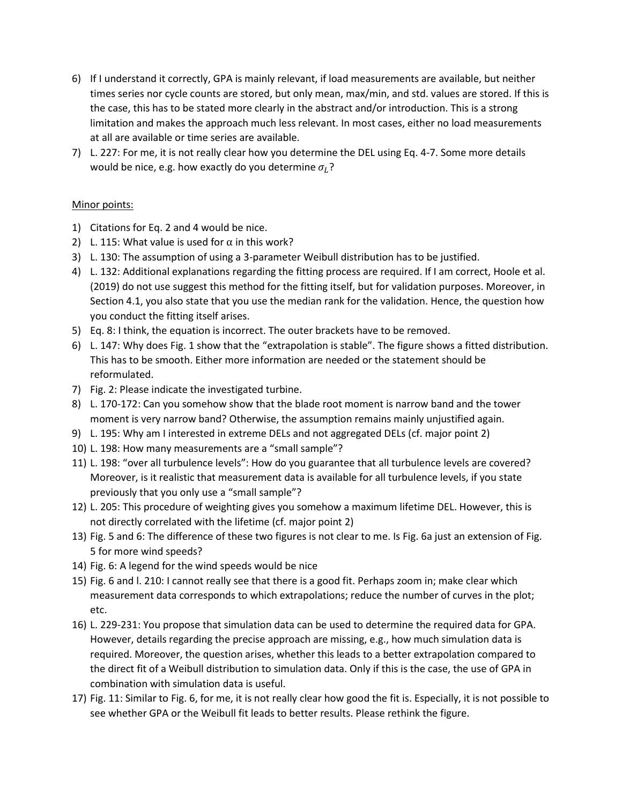- 6) If I understand it correctly, GPA is mainly relevant, if load measurements are available, but neither times series nor cycle counts are stored, but only mean, max/min, and std. values are stored. If this is the case, this has to be stated more clearly in the abstract and/or introduction. This is a strong limitation and makes the approach much less relevant. In most cases, either no load measurements at all are available or time series are available.
- 7) L. 227: For me, it is not really clear how you determine the DEL using Eq. 4-7. Some more details would be nice, e.g. how exactly do you determine  $\sigma_L$ ?

## Minor points:

- 1) Citations for Eq. 2 and 4 would be nice.
- 2) L. 115: What value is used for  $\alpha$  in this work?
- 3) L. 130: The assumption of using a 3-parameter Weibull distribution has to be justified.
- 4) L. 132: Additional explanations regarding the fitting process are required. If I am correct, Hoole et al. (2019) do not use suggest this method for the fitting itself, but for validation purposes. Moreover, in Section 4.1, you also state that you use the median rank for the validation. Hence, the question how you conduct the fitting itself arises.
- 5) Eq. 8: I think, the equation is incorrect. The outer brackets have to be removed.
- 6) L. 147: Why does Fig. 1 show that the "extrapolation is stable". The figure shows a fitted distribution. This has to be smooth. Either more information are needed or the statement should be reformulated.
- 7) Fig. 2: Please indicate the investigated turbine.
- 8) L. 170-172: Can you somehow show that the blade root moment is narrow band and the tower moment is very narrow band? Otherwise, the assumption remains mainly unjustified again.
- 9) L. 195: Why am I interested in extreme DELs and not aggregated DELs (cf. major point 2)
- 10) L. 198: How many measurements are a "small sample"?
- 11) L. 198: "over all turbulence levels": How do you guarantee that all turbulence levels are covered? Moreover, is it realistic that measurement data is available for all turbulence levels, if you state previously that you only use a "small sample"?
- 12) L. 205: This procedure of weighting gives you somehow a maximum lifetime DEL. However, this is not directly correlated with the lifetime (cf. major point 2)
- 13) Fig. 5 and 6: The difference of these two figures is not clear to me. Is Fig. 6a just an extension of Fig. 5 for more wind speeds?
- 14) Fig. 6: A legend for the wind speeds would be nice
- 15) Fig. 6 and l. 210: I cannot really see that there is a good fit. Perhaps zoom in; make clear which measurement data corresponds to which extrapolations; reduce the number of curves in the plot; etc.
- 16) L. 229-231: You propose that simulation data can be used to determine the required data for GPA. However, details regarding the precise approach are missing, e.g., how much simulation data is required. Moreover, the question arises, whether this leads to a better extrapolation compared to the direct fit of a Weibull distribution to simulation data. Only if this is the case, the use of GPA in combination with simulation data is useful.
- 17) Fig. 11: Similar to Fig. 6, for me, it is not really clear how good the fit is. Especially, it is not possible to see whether GPA or the Weibull fit leads to better results. Please rethink the figure.